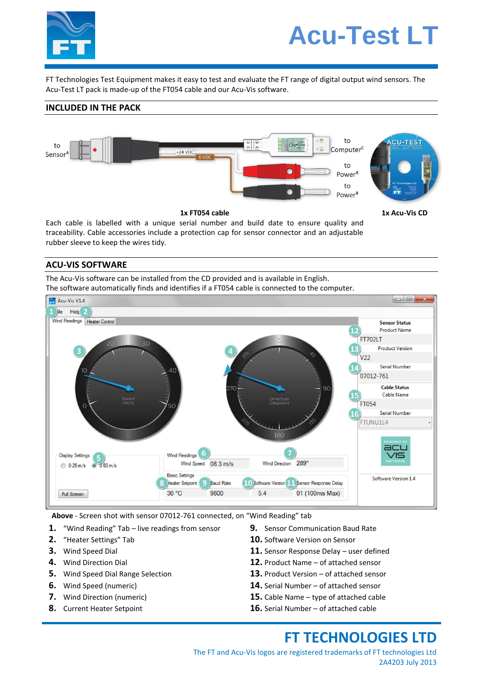

# **Acu-Test LT**

FT Technologies Test Equipment makes it easy to test and evaluate the FT range of digital output wind sensors. The Acu-Test LT pack is made-up of the FT054 cable and our Acu-Vis software.

### **INCLUDED IN THE PACK**



Each cable is labelled with a unique serial number and build date to ensure quality and traceability. Cable accessories include a protection cap for sensor connector and an adjustable rubber sleeve to keep the wires tidy.

#### **ACU-VIS SOFTWARE**

The Acu-Vis software can be installed from the CD provided and is available in English. The software automatically finds and identifies if a FT054 cable is connected to the computer.



**Above** - Screen shot with sensor 07012-761 connected, on "Wind Reading" tab

- **1.** "Wind Reading" Tab live readings from sensor
- **2.** "Heater Settings" Tab
- **3.** Wind Speed Dial
- **4.** Wind Direction Dial
- **5.** Wind Speed Dial Range Selection
- **6.** Wind Speed (numeric)
- **7.** Wind Direction (numeric)
- **8.** Current Heater Setpoint
- **9.** Sensor Communication Baud Rate
- **10.** Software Version on Sensor
- **11.** Sensor Response Delay user defined
- **12.** Product Name of attached sensor
- **13.** Product Version of attached sensor
- **14.** Serial Number of attached sensor
- **15.** Cable Name type of attached cable
- **16.** Serial Number of attached cable

# **FT TECHNOLOGIES LTD**